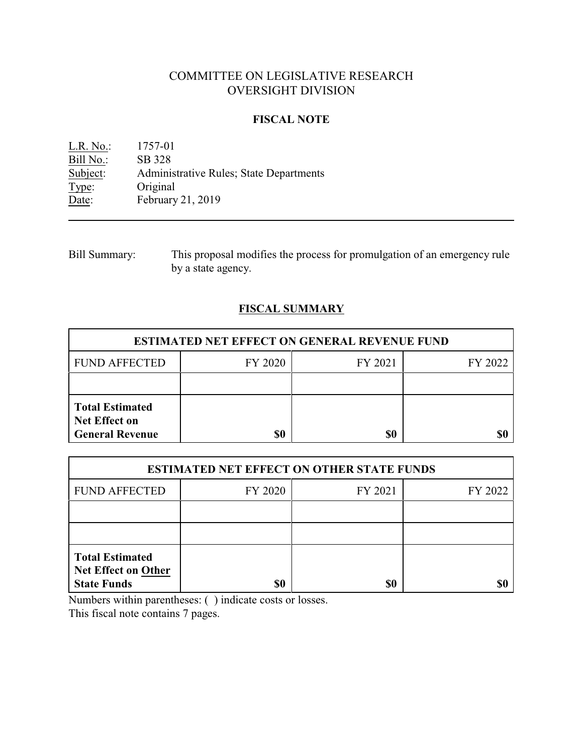# COMMITTEE ON LEGISLATIVE RESEARCH OVERSIGHT DIVISION

## **FISCAL NOTE**

L.R. No.: 1757-01 Bill No.: SB 328<br>Subject: Adminis Administrative Rules; State Departments Type: Original<br>Date: February February 21, 2019

Bill Summary: This proposal modifies the process for promulgation of an emergency rule by a state agency.

# **FISCAL SUMMARY**

| <b>ESTIMATED NET EFFECT ON GENERAL REVENUE FUND</b>                      |         |         |         |  |
|--------------------------------------------------------------------------|---------|---------|---------|--|
| <b>FUND AFFECTED</b>                                                     | FY 2020 | FY 2021 | FY 2022 |  |
|                                                                          |         |         |         |  |
| <b>Total Estimated</b><br><b>Net Effect on</b><br><b>General Revenue</b> | \$0     | \$0     |         |  |

| <b>ESTIMATED NET EFFECT ON OTHER STATE FUNDS</b>                           |         |         |         |  |
|----------------------------------------------------------------------------|---------|---------|---------|--|
| <b>FUND AFFECTED</b>                                                       | FY 2020 | FY 2021 | FY 2022 |  |
|                                                                            |         |         |         |  |
|                                                                            |         |         |         |  |
| <b>Total Estimated</b><br><b>Net Effect on Other</b><br><b>State Funds</b> | \$0     | \$0     |         |  |

Numbers within parentheses: ( ) indicate costs or losses.

This fiscal note contains 7 pages.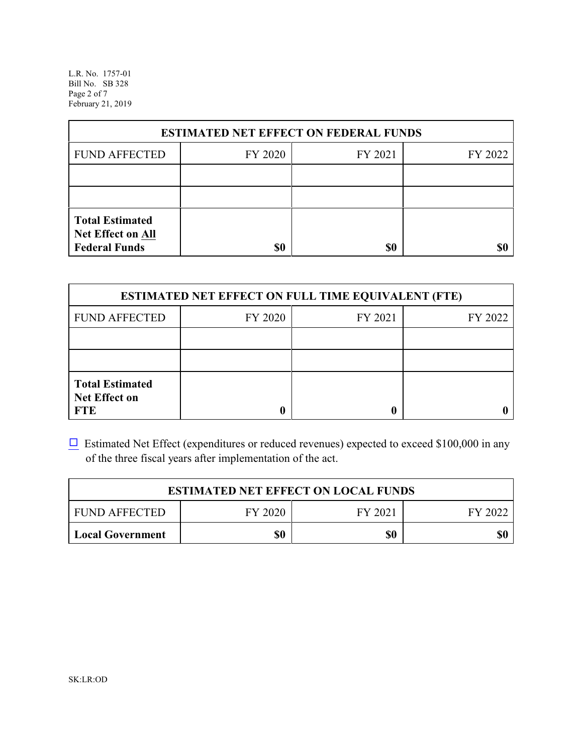L.R. No. 1757-01 Bill No. SB 328 Page 2 of 7 February 21, 2019

| <b>ESTIMATED NET EFFECT ON FEDERAL FUNDS</b>                        |         |         |         |  |
|---------------------------------------------------------------------|---------|---------|---------|--|
| <b>FUND AFFECTED</b>                                                | FY 2020 | FY 2021 | FY 2022 |  |
|                                                                     |         |         |         |  |
|                                                                     |         |         |         |  |
| <b>Total Estimated</b><br>Net Effect on All<br><b>Federal Funds</b> | \$0     | \$0     |         |  |

| <b>ESTIMATED NET EFFECT ON FULL TIME EQUIVALENT (FTE)</b>    |         |         |         |  |
|--------------------------------------------------------------|---------|---------|---------|--|
| <b>FUND AFFECTED</b>                                         | FY 2020 | FY 2021 | FY 2022 |  |
|                                                              |         |         |         |  |
|                                                              |         |         |         |  |
| <b>Total Estimated</b><br><b>Net Effect on</b><br><b>FTE</b> |         |         |         |  |

 $\Box$  Estimated Net Effect (expenditures or reduced revenues) expected to exceed \$100,000 in any of the three fiscal years after implementation of the act.

| <b>ESTIMATED NET EFFECT ON LOCAL FUNDS</b> |         |         |         |
|--------------------------------------------|---------|---------|---------|
| <b>FUND AFFECTED</b>                       | FY 2020 | FY 2021 | FY 2022 |
| <b>Local Government</b>                    | \$0     | \$0     | \$0     |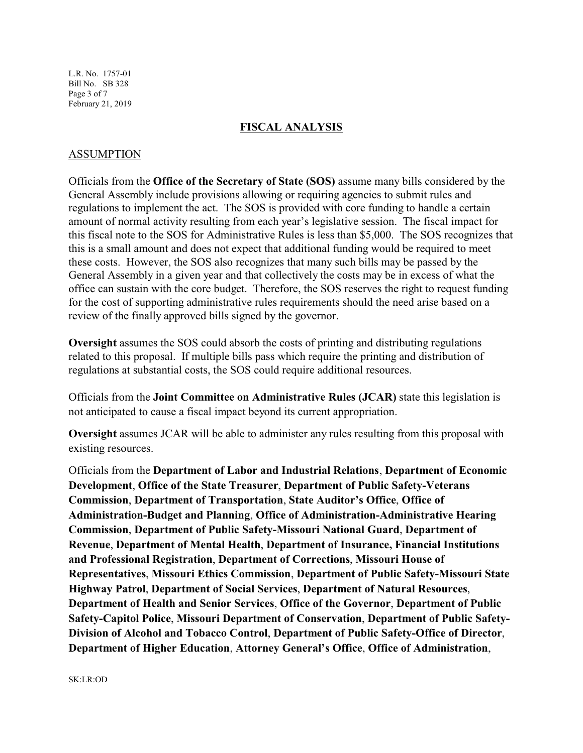L.R. No. 1757-01 Bill No. SB 328 Page 3 of 7 February 21, 2019

#### **FISCAL ANALYSIS**

### ASSUMPTION

Officials from the **Office of the Secretary of State (SOS)** assume many bills considered by the General Assembly include provisions allowing or requiring agencies to submit rules and regulations to implement the act. The SOS is provided with core funding to handle a certain amount of normal activity resulting from each year's legislative session. The fiscal impact for this fiscal note to the SOS for Administrative Rules is less than \$5,000. The SOS recognizes that this is a small amount and does not expect that additional funding would be required to meet these costs. However, the SOS also recognizes that many such bills may be passed by the General Assembly in a given year and that collectively the costs may be in excess of what the office can sustain with the core budget. Therefore, the SOS reserves the right to request funding for the cost of supporting administrative rules requirements should the need arise based on a review of the finally approved bills signed by the governor.

**Oversight** assumes the SOS could absorb the costs of printing and distributing regulations related to this proposal. If multiple bills pass which require the printing and distribution of regulations at substantial costs, the SOS could require additional resources.

Officials from the **Joint Committee on Administrative Rules (JCAR)** state this legislation is not anticipated to cause a fiscal impact beyond its current appropriation.

**Oversight** assumes JCAR will be able to administer any rules resulting from this proposal with existing resources.

Officials from the **Department of Labor and Industrial Relations**, **Department of Economic Development**, **Office of the State Treasurer**, **Department of Public Safety-Veterans Commission**, **Department of Transportation**, **State Auditor's Office**, **Office of Administration-Budget and Planning**, **Office of Administration-Administrative Hearing Commission**, **Department of Public Safety-Missouri National Guard**, **Department of Revenue**, **Department of Mental Health**, **Department of Insurance, Financial Institutions and Professional Registration**, **Department of Corrections**, **Missouri House of Representatives**, **Missouri Ethics Commission**, **Department of Public Safety-Missouri State Highway Patrol**, **Department of Social Services**, **Department of Natural Resources**, **Department of Health and Senior Services**, **Office of the Governor**, **Department of Public Safety-Capitol Police**, **Missouri Department of Conservation**, **Department of Public Safety-Division of Alcohol and Tobacco Control**, **Department of Public Safety-Office of Director**, **Department of Higher Education**, **Attorney General's Office**, **Office of Administration**,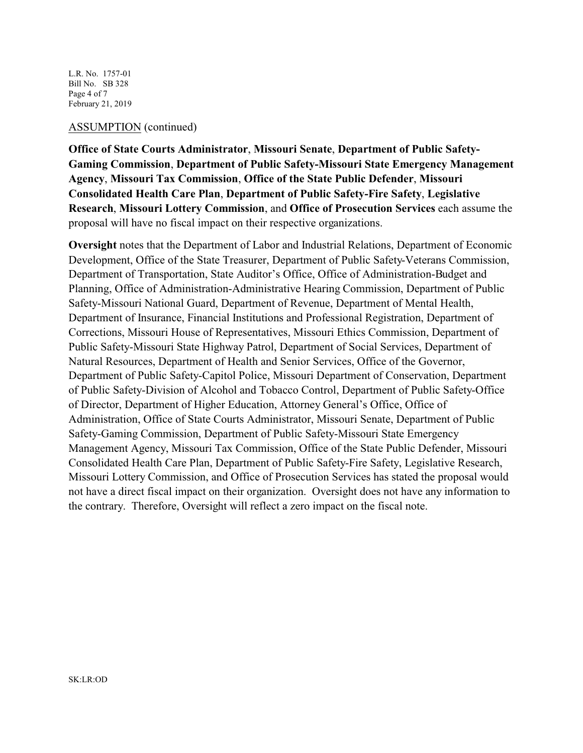L.R. No. 1757-01 Bill No. SB 328 Page 4 of 7 February 21, 2019

#### ASSUMPTION (continued)

**Office of State Courts Administrator**, **Missouri Senate**, **Department of Public Safety-Gaming Commission**, **Department of Public Safety-Missouri State Emergency Management Agency**, **Missouri Tax Commission**, **Office of the State Public Defender**, **Missouri Consolidated Health Care Plan**, **Department of Public Safety-Fire Safety**, **Legislative Research**, **Missouri Lottery Commission**, and **Office of Prosecution Services** each assume the proposal will have no fiscal impact on their respective organizations.

**Oversight** notes that the Department of Labor and Industrial Relations, Department of Economic Development, Office of the State Treasurer, Department of Public Safety-Veterans Commission, Department of Transportation, State Auditor's Office, Office of Administration-Budget and Planning, Office of Administration-Administrative Hearing Commission, Department of Public Safety-Missouri National Guard, Department of Revenue, Department of Mental Health, Department of Insurance, Financial Institutions and Professional Registration, Department of Corrections, Missouri House of Representatives, Missouri Ethics Commission, Department of Public Safety-Missouri State Highway Patrol, Department of Social Services, Department of Natural Resources, Department of Health and Senior Services, Office of the Governor, Department of Public Safety-Capitol Police, Missouri Department of Conservation, Department of Public Safety-Division of Alcohol and Tobacco Control, Department of Public Safety-Office of Director, Department of Higher Education, Attorney General's Office, Office of Administration, Office of State Courts Administrator, Missouri Senate, Department of Public Safety-Gaming Commission, Department of Public Safety-Missouri State Emergency Management Agency, Missouri Tax Commission, Office of the State Public Defender, Missouri Consolidated Health Care Plan, Department of Public Safety-Fire Safety, Legislative Research, Missouri Lottery Commission, and Office of Prosecution Services has stated the proposal would not have a direct fiscal impact on their organization. Oversight does not have any information to the contrary. Therefore, Oversight will reflect a zero impact on the fiscal note.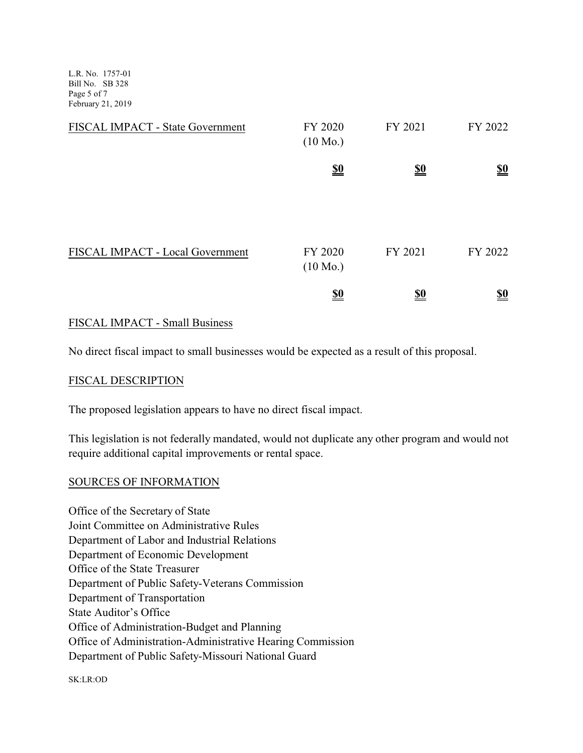L.R. No. 1757-01 Bill No. SB 328 Page 5 of 7 February 21, 2019

| FISCAL IMPACT - State Government | FY 2020<br>$(10 \text{ Mo.})$ | FY 2021                       | FY 2022                       |
|----------------------------------|-------------------------------|-------------------------------|-------------------------------|
|                                  | $\underline{\underline{\$0}}$ | $\underline{\underline{\$0}}$ | $\underline{\underline{\$0}}$ |
|                                  |                               |                               |                               |
| FISCAL IMPACT - Local Government | FY 2020<br>$(10 \text{ Mo.})$ | FY 2021                       | FY 2022                       |
|                                  | <u>\$0</u>                    | <u>\$0</u>                    | <u>\$0</u>                    |

## FISCAL IMPACT - Small Business

No direct fiscal impact to small businesses would be expected as a result of this proposal.

## FISCAL DESCRIPTION

The proposed legislation appears to have no direct fiscal impact.

This legislation is not federally mandated, would not duplicate any other program and would not require additional capital improvements or rental space.

## SOURCES OF INFORMATION

Office of the Secretary of State Joint Committee on Administrative Rules Department of Labor and Industrial Relations Department of Economic Development Office of the State Treasurer Department of Public Safety-Veterans Commission Department of Transportation State Auditor's Office Office of Administration-Budget and Planning Office of Administration-Administrative Hearing Commission Department of Public Safety-Missouri National Guard

SK:LR:OD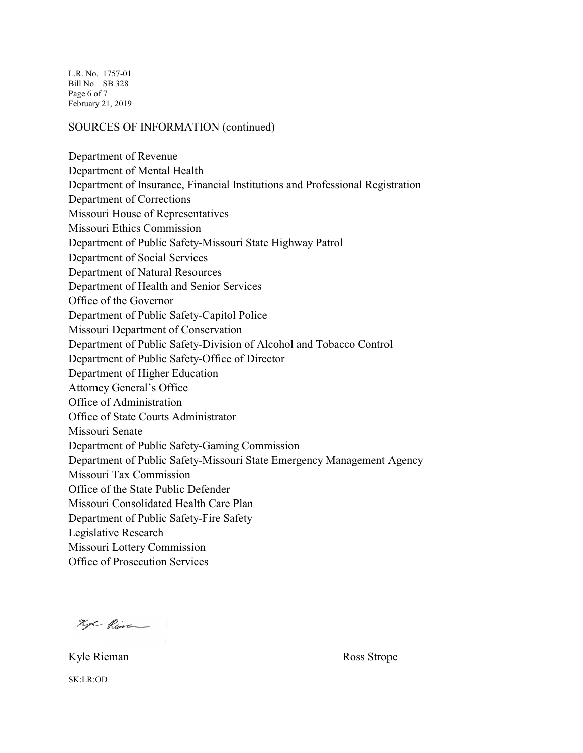L.R. No. 1757-01 Bill No. SB 328 Page 6 of 7 February 21, 2019

#### SOURCES OF INFORMATION (continued)

Department of Revenue Department of Mental Health Department of Insurance, Financial Institutions and Professional Registration Department of Corrections Missouri House of Representatives Missouri Ethics Commission Department of Public Safety-Missouri State Highway Patrol Department of Social Services Department of Natural Resources Department of Health and Senior Services Office of the Governor Department of Public Safety-Capitol Police Missouri Department of Conservation Department of Public Safety-Division of Alcohol and Tobacco Control Department of Public Safety-Office of Director Department of Higher Education Attorney General's Office Office of Administration Office of State Courts Administrator Missouri Senate Department of Public Safety-Gaming Commission Department of Public Safety-Missouri State Emergency Management Agency Missouri Tax Commission Office of the State Public Defender Missouri Consolidated Health Care Plan Department of Public Safety-Fire Safety Legislative Research Missouri Lottery Commission Office of Prosecution Services

hope Rime

SK:LR:OD

Kyle Rieman Ross Strope